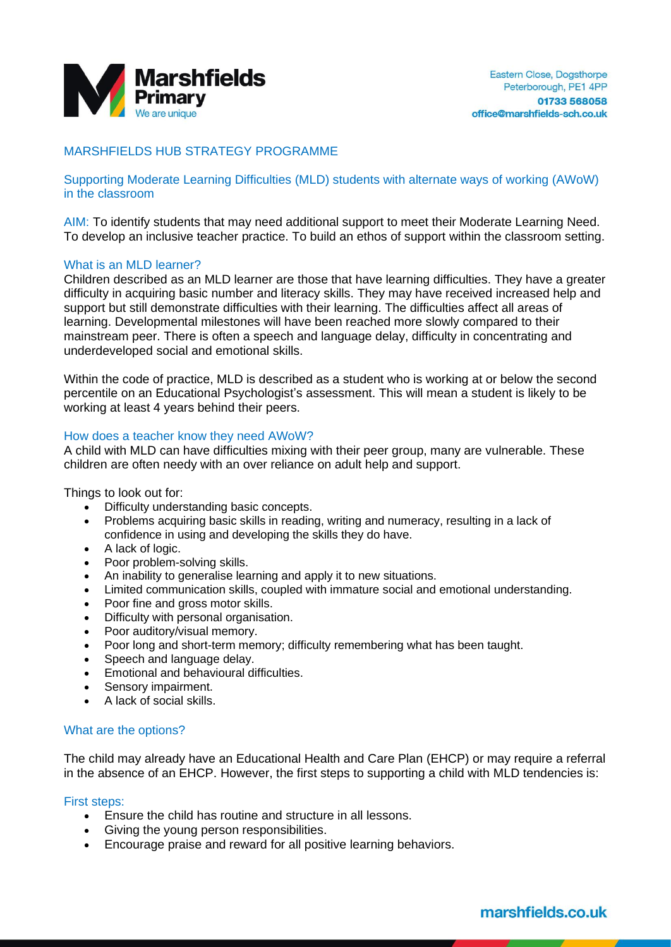

# MARSHFIELDS HUB STRATEGY PROGRAMME

Supporting Moderate Learning Difficulties (MLD) students with alternate ways of working (AWoW) in the classroom

AIM: To identify students that may need additional support to meet their Moderate Learning Need. To develop an inclusive teacher practice. To build an ethos of support within the classroom setting.

### What is an MLD learner?

Children described as an MLD learner are those that have learning difficulties. They have a greater difficulty in acquiring basic number and literacy skills. They may have received increased help and support but still demonstrate difficulties with their learning. The difficulties affect all areas of learning. Developmental milestones will have been reached more slowly compared to their mainstream peer. There is often a speech and language delay, difficulty in concentrating and underdeveloped social and emotional skills.

Within the code of practice, MLD is described as a student who is working at or below the second percentile on an Educational Psychologist's assessment. This will mean a student is likely to be working at least 4 years behind their peers.

#### How does a teacher know they need AWoW?

A child with MLD can have difficulties mixing with their peer group, many are vulnerable. These children are often needy with an over reliance on adult help and support.

Things to look out for:

- Difficulty understanding basic concepts.
- Problems acquiring basic skills in reading, writing and numeracy, resulting in a lack of confidence in using and developing the skills they do have.
- A lack of logic.
- Poor problem-solving skills.
- An inability to generalise learning and apply it to new situations.
- Limited communication skills, coupled with immature social and emotional understanding.
- Poor fine and gross motor skills.
- Difficulty with personal organisation.
- Poor auditory/visual memory.
- Poor long and short-term memory; difficulty remembering what has been taught.
- Speech and language delay.
- Emotional and behavioural difficulties.
- Sensory impairment.
- A lack of social skills.

#### What are the options?

The child may already have an Educational Health and Care Plan (EHCP) or may require a referral in the absence of an EHCP. However, the first steps to supporting a child with MLD tendencies is:

#### First steps:

- Ensure the child has routine and structure in all lessons.
- Giving the young person responsibilities.
- Encourage praise and reward for all positive learning behaviors.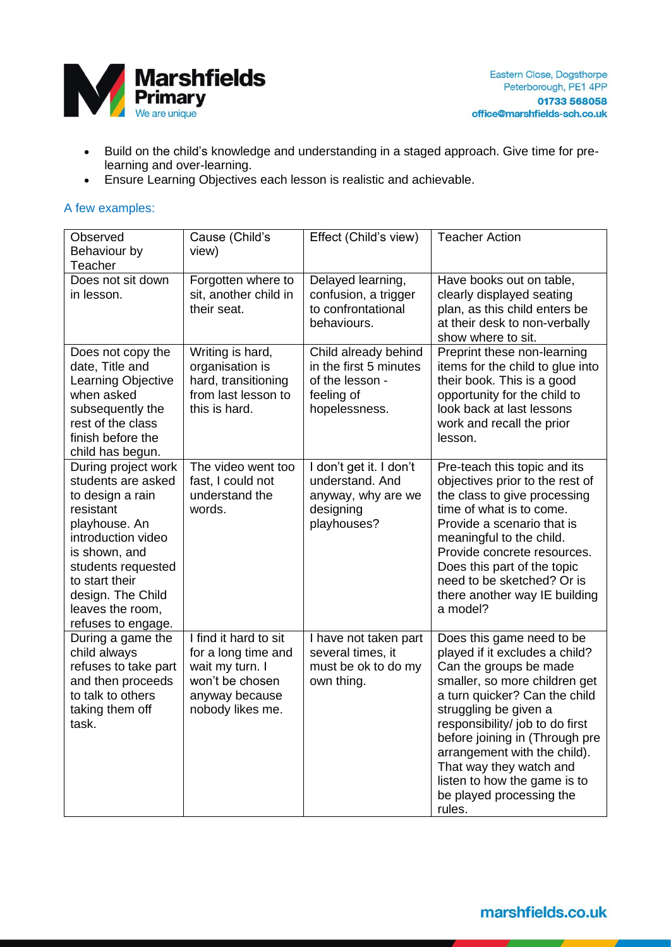

- Build on the child's knowledge and understanding in a staged approach. Give time for prelearning and over-learning.
- Ensure Learning Objectives each lesson is realistic and achievable.

### A few examples:

| Observed<br>Behaviour by<br>Teacher                                                                                                                                                                                                       | Cause (Child's<br>view)                                                                                                  | Effect (Child's view)                                                                            | <b>Teacher Action</b>                                                                                                                                                                                                                                                                                                                                                                  |
|-------------------------------------------------------------------------------------------------------------------------------------------------------------------------------------------------------------------------------------------|--------------------------------------------------------------------------------------------------------------------------|--------------------------------------------------------------------------------------------------|----------------------------------------------------------------------------------------------------------------------------------------------------------------------------------------------------------------------------------------------------------------------------------------------------------------------------------------------------------------------------------------|
| Does not sit down<br>in lesson.                                                                                                                                                                                                           | Forgotten where to<br>sit, another child in<br>their seat.                                                               | Delayed learning,<br>confusion, a trigger<br>to confrontational<br>behaviours.                   | Have books out on table,<br>clearly displayed seating<br>plan, as this child enters be<br>at their desk to non-verbally<br>show where to sit.                                                                                                                                                                                                                                          |
| Does not copy the<br>date, Title and<br><b>Learning Objective</b><br>when asked<br>subsequently the<br>rest of the class<br>finish before the<br>child has begun.                                                                         | Writing is hard,<br>organisation is<br>hard, transitioning<br>from last lesson to<br>this is hard.                       | Child already behind<br>in the first 5 minutes<br>of the lesson -<br>feeling of<br>hopelessness. | Preprint these non-learning<br>items for the child to glue into<br>their book. This is a good<br>opportunity for the child to<br>look back at last lessons<br>work and recall the prior<br>lesson.                                                                                                                                                                                     |
| During project work<br>students are asked<br>to design a rain<br>resistant<br>playhouse. An<br>introduction video<br>is shown, and<br>students requested<br>to start their<br>design. The Child<br>leaves the room,<br>refuses to engage. | The video went too<br>fast, I could not<br>understand the<br>words.                                                      | I don't get it. I don't<br>understand. And<br>anyway, why are we<br>designing<br>playhouses?     | Pre-teach this topic and its<br>objectives prior to the rest of<br>the class to give processing<br>time of what is to come.<br>Provide a scenario that is<br>meaningful to the child.<br>Provide concrete resources.<br>Does this part of the topic<br>need to be sketched? Or is<br>there another way IE building<br>a model?                                                         |
| During a game the<br>child always<br>refuses to take part<br>and then proceeds<br>to talk to others<br>taking them off<br>task.                                                                                                           | I find it hard to sit<br>for a long time and<br>wait my turn. I<br>won't be chosen<br>anyway because<br>nobody likes me. | I have not taken part<br>several times, it<br>must be ok to do my<br>own thing.                  | Does this game need to be<br>played if it excludes a child?<br>Can the groups be made<br>smaller, so more children get<br>a turn quicker? Can the child<br>struggling be given a<br>responsibility/ job to do first<br>before joining in (Through pre<br>arrangement with the child).<br>That way they watch and<br>listen to how the game is to<br>be played processing the<br>rules. |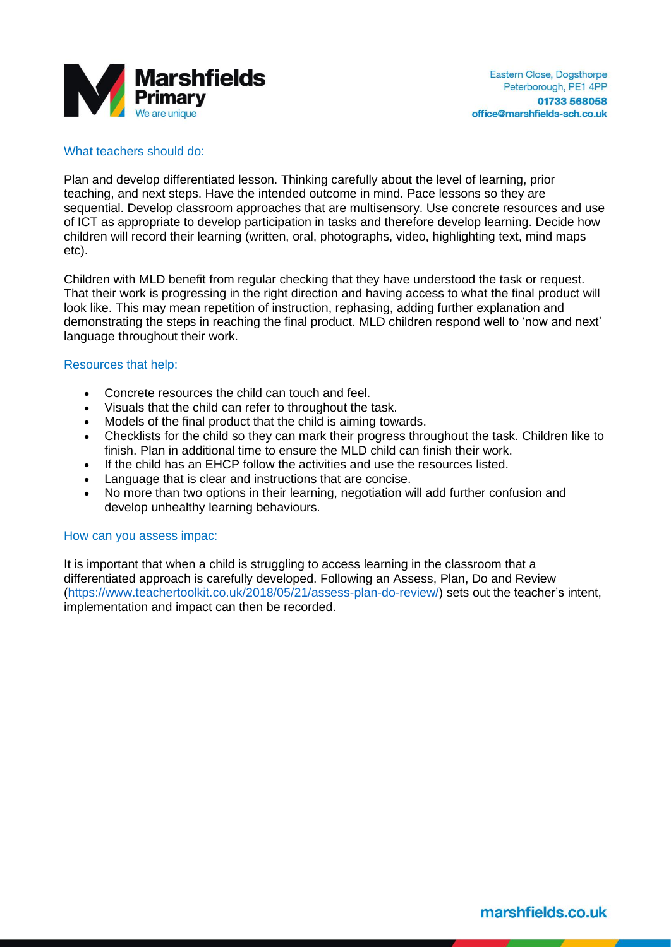

## What teachers should do:

Plan and develop differentiated lesson. Thinking carefully about the level of learning, prior teaching, and next steps. Have the intended outcome in mind. Pace lessons so they are sequential. Develop classroom approaches that are multisensory. Use concrete resources and use of ICT as appropriate to develop participation in tasks and therefore develop learning. Decide how children will record their learning (written, oral, photographs, video, highlighting text, mind maps etc).

Children with MLD benefit from regular checking that they have understood the task or request. That their work is progressing in the right direction and having access to what the final product will look like. This may mean repetition of instruction, rephasing, adding further explanation and demonstrating the steps in reaching the final product. MLD children respond well to 'now and next' language throughout their work.

### Resources that help:

- Concrete resources the child can touch and feel.
- Visuals that the child can refer to throughout the task.
- Models of the final product that the child is aiming towards.
- Checklists for the child so they can mark their progress throughout the task. Children like to finish. Plan in additional time to ensure the MLD child can finish their work.
- If the child has an EHCP follow the activities and use the resources listed.
- Language that is clear and instructions that are concise.
- No more than two options in their learning, negotiation will add further confusion and develop unhealthy learning behaviours.

### How can you assess impac:

It is important that when a child is struggling to access learning in the classroom that a differentiated approach is carefully developed. Following an Assess, Plan, Do and Review [\(https://www.teachertoolkit.co.uk/2018/05/21/assess-plan-do-review/\)](https://www.teachertoolkit.co.uk/2018/05/21/assess-plan-do-review/) sets out the teacher's intent, implementation and impact can then be recorded.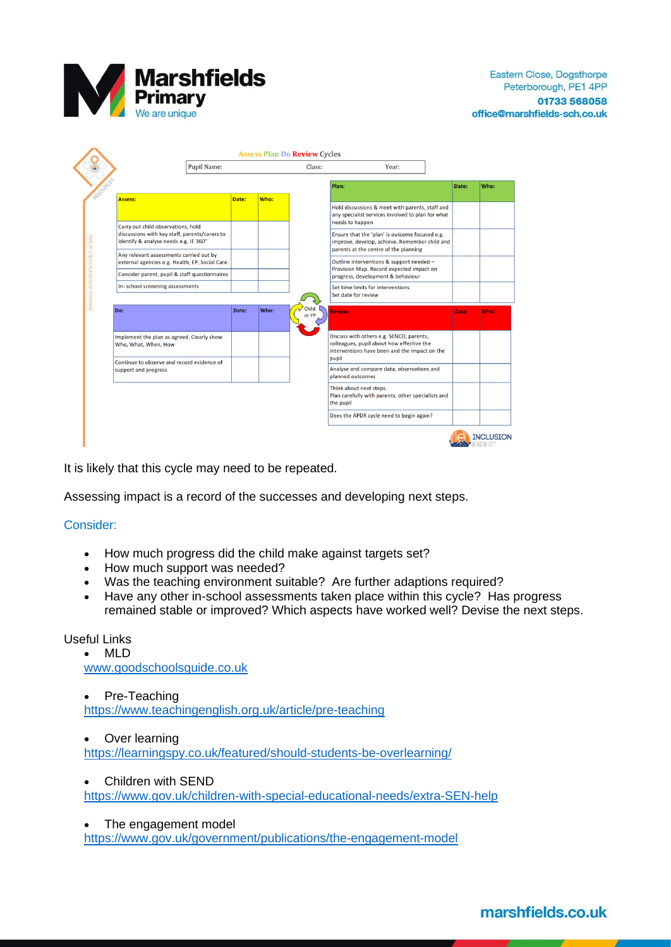

|                                                                                                                                             | <b>Pupil Name:</b> |       |      | Class:         | Year:                                                                                                                                           |       |      |
|---------------------------------------------------------------------------------------------------------------------------------------------|--------------------|-------|------|----------------|-------------------------------------------------------------------------------------------------------------------------------------------------|-------|------|
|                                                                                                                                             |                    |       |      |                | Plan:                                                                                                                                           | Date: | Who: |
| RESOURCE-<br><b>Assess:</b>                                                                                                                 |                    | Date: | Who: |                | Hold discussions & meet with parents, staff and<br>any specialist services involved to plan for what<br>needs to happen                         |       |      |
| Carry out child observations, hold<br>discussions with key staff, parents/carers to<br>identify & analyse needs e.g. IE 360°                |                    |       |      |                | Ensure that the 'plan' is outcome focused e.g.<br>improve, develop, achieve. Remember child and<br>parents at the centre of the planning        |       |      |
| Any relevant assessments carried out by<br>external agencies e.g. Health, EP, Social Care.<br>Consider parent, pupil & staff questionnaires |                    |       |      |                | Outline interventions & support needed -<br>Provision Map. Record expected impact on<br>progress, development & behaviour                       |       |      |
| In-school screening assessments                                                                                                             |                    |       |      |                | Set time limits for interventions<br>Set date for review                                                                                        |       |      |
| Do:                                                                                                                                         |                    | Date: | Who: | Child<br>or YP | <b>Review:</b>                                                                                                                                  | Date: | Who: |
| Implement the plan as agreed. Clearly show<br>Who, What, When, How                                                                          |                    |       |      |                | Discuss with others e.g. SENCO, parents,<br>colleagues, pupil about how effective the<br>interventions have been and the impact on the<br>pupil |       |      |
| Continue to observe and record evidence of<br>support and progress                                                                          |                    |       |      |                | Analyse and compare data, observations and<br>planned outcomes                                                                                  |       |      |
|                                                                                                                                             |                    |       |      |                | Think about next steps.<br>Plan carefully with parents, other specialists and<br>the pupil                                                      |       |      |
|                                                                                                                                             |                    |       |      |                | Does the APDR cycle need to begin again?                                                                                                        |       |      |

It is likely that this cycle may need to be repeated.

Assessing impact is a record of the successes and developing next steps.

## Consider:

- How much progress did the child make against targets set?
- How much support was needed?
- Was the teaching environment suitable? Are further adaptions required?
- Have any other in-school assessments taken place within this cycle? Has progress remained stable or improved? Which aspects have worked well? Devise the next steps.

# Useful Links

• MLD

[www.goodschoolsguide.co.uk](http://www.goodschoolsguide.co.uk/)

• Pre-Teaching <https://www.teachingenglish.org.uk/article/pre-teaching>

• Over learning

<https://learningspy.co.uk/featured/should-students-be-overlearning/>

• Children with SEND

<https://www.gov.uk/children-with-special-educational-needs/extra-SEN-help>

• The engagement model

<https://www.gov.uk/government/publications/the-engagement-model>